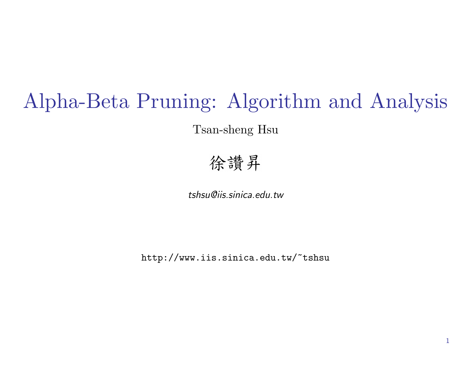# Alpha-Beta Pruning: Algorithm and Analysis

Tsan-sheng Hsu

### 徐讚昇

tshsu@iis.sinica.edu.tw

http://www.iis.sinica.edu.tw/~tshsu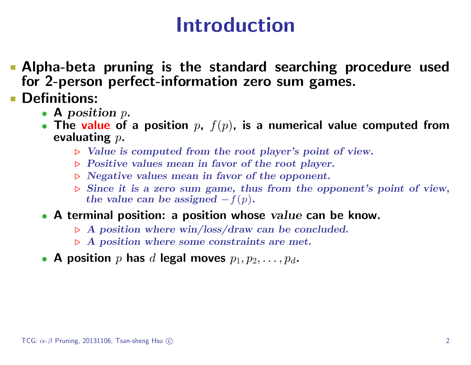## Introduction

- Alpha-beta pruning is the standard searching procedure used for 2-person perfect-information zero sum games.
- **Definitions:** 
	- A position  $p$ .
	- The value of a position  $p$ ,  $f(p)$ , is a numerical value computed from evaluating  $p$ .
		- $\triangleright$  Value is computed from the root player's point of view.
		- $\triangleright$  Positive values mean in favor of the root player.
		- $\triangleright$  Negative values mean in favor of the opponent.
		- $\triangleright$  Since it is a zero sum game, thus from the opponent's point of view, the value can be assigned  $-f(p)$ .
	- A terminal position: a position whose value can be know.
		- $\triangleright$  A position where win/loss/draw can be concluded.
		- $\triangleright$  A position where some constraints are met.
	- A position  $p$  has  $d$  legal moves  $p_1, p_2, \ldots, p_d$ .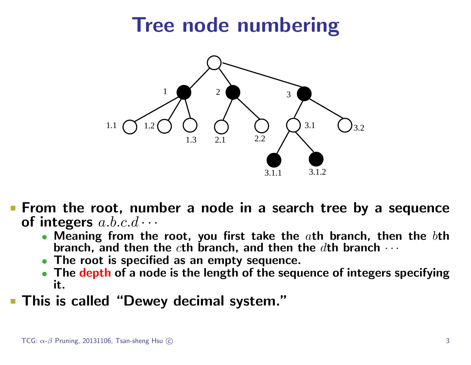# Tree node numbering



- **Fig. 5 From the root, number a node in a search tree by a sequence** of integers  $a.b.c.d \cdots$ 
	- Meaning from the root, you first take the  $a$ th branch, then the  $b$ th branch, and then the cth branch, and then the  $d$ th branch  $\cdots$
	- The root is specified as an empty sequence.
	- The depth of a node is the length of the sequence of integers specifying it.
- **This is called "Dewey decimal system."**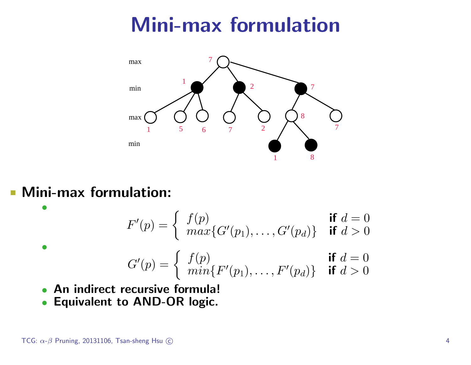# Mini-max formulation



#### **Mini-max formulation:**

•

•

$$
F'(p) = \begin{cases} f(p) & \text{if } d = 0\\ \max\{G'(p_1), \dots, G'(p_d)\} & \text{if } d > 0 \end{cases}
$$

$$
G'(p) = \begin{cases} f(p) & \text{if } d = 0\\ min\{F'(p_1), \dots, F'(p_d)\} & \text{if } d > 0 \end{cases}
$$

- An indirect recursive formula!
- Equivalent to AND-OR logic.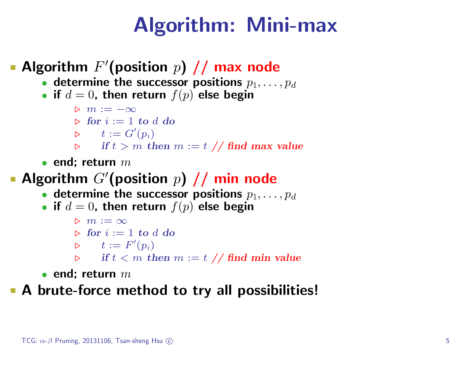## Algorithm: Mini-max

#### Algorithm  $F'$ (position  $p$ ) // max node

- determine the successor positions  $p_1, \ldots, p_d$
- if  $d = 0$ , then return  $f(p)$  else begin

$$
\triangleright \ m := -\infty
$$

$$
\triangleright \textbf{ for } i := 1 \textbf{ to } d \textbf{ do}
$$

$$
\triangleright \qquad t:=G'(p_i)
$$

- $\triangleright$  if  $t > m$  then  $m := t \; //$  find max value
- end: return  $m$

#### Algorithm  $G'$ (position  $p$ )  $/$  min node

- determine the successor positions  $p_1, \ldots, p_d$
- if  $d = 0$ , then return  $f(p)$  else begin

$$
\begin{array}{l}\n\triangleright m := \infty \\
\triangleright \textbf{ for } i := 1 \textbf{ to } d \textbf{ do} \\
\triangleright \quad t := F'(p_i) \\
\triangleright \quad \textbf{ if } t < m \textbf{ then } m := t \textbf{ // find } \textbf{min } \textbf{ value}\n\end{array}
$$

• end: return  $m$ 

#### A brute-force method to try all possibilities!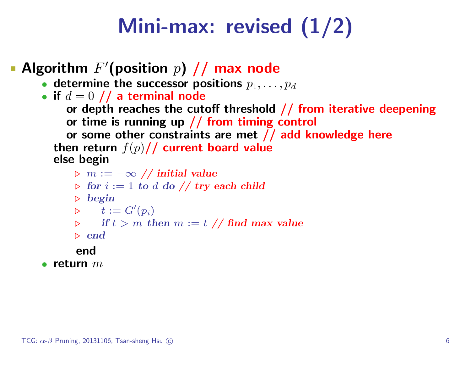# Mini-max: revised (1/2)

#### Algorithm  $F'$ (position  $p$ ) // max node

- determine the successor positions  $p_1, \ldots, p_d$
- if  $d = 0$  // a terminal node

```
or depth reaches the cutoff threshold // from iterative deepening
or time is running up // from timing control
```
or some other constraints are met // add knowledge here then return  $f(p)//$  current board value else begin

- $\triangleright$  m :=  $-\infty$  // initial value
- $\triangleright$  for  $i := 1$  to d do // try each child
- $\triangleright$  begin

$$
\triangleright \qquad t:=G'(p_i)
$$

$$
\triangleright \qquad \text{if } t > m \text{ then } m := t \text{ // find max value}
$$

 $\triangleright$  end

#### end

• return  $m$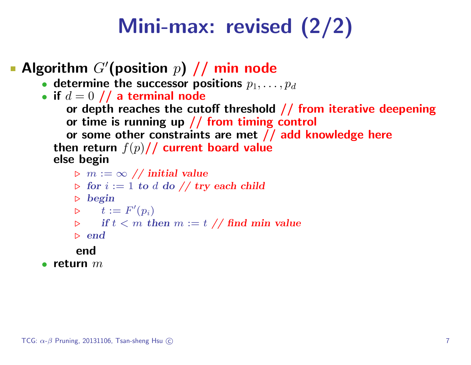# Mini-max: revised (2/2)

### Algorithm  $G'$ (position  $p$ )  $/$  min node

- determine the successor positions  $p_1, \ldots, p_d$
- if  $d = 0$  // a terminal node

```
or depth reaches the cutoff threshold // from iterative deepening
or time is running up // from timing control
```
or some other constraints are met // add knowledge here then return  $f(p)//$  current board value else begin

```
\triangleright m := \infty // initial value
```
- $\triangleright$  for  $i := 1$  to d do // try each child
- $\triangleright$  begin

$$
\triangleright \qquad t := F'(p_i)
$$

```
if t < m then m := t \text{ // find } min value
```
 $\triangleright$  end

#### end

• return  $m$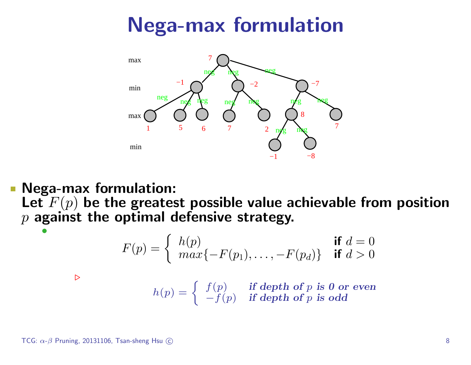# Nega-max formulation



Nega-max formulation:  $\mathcal{L}_{\mathcal{A}}$ 

Let  $F(p)$  be the greatest possible value achievable from position  $p$  against the optimal defensive strategy. •

$$
F(p) = \begin{cases} h(p) & \text{if } d = 0\\ \max\{-F(p_1), \dots, -F(p_d)\} & \text{if } d > 0 \end{cases}
$$

 $\triangleright$ 

$$
h(p) = \begin{cases} f(p) & \text{if depth of } p \text{ is 0 or even} \\ -f(p) & \text{if depth of } p \text{ is odd} \end{cases}
$$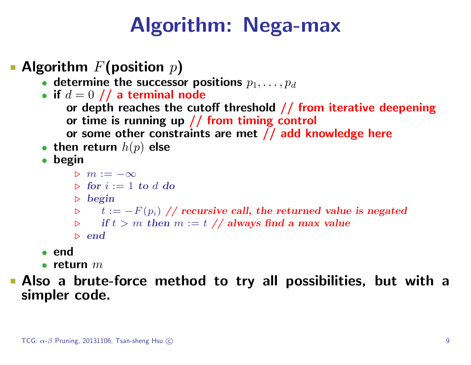# Algorithm: Nega-max

- Algorithm  $F$ (position  $p$ )
	- determine the successor positions  $p_1, \ldots, p_d$
	- if  $d = 0$  // a terminal node
		- or depth reaches the cutoff threshold  $//$  from iterative deepening or time is running up  $//$  from timing control
		- or some other constraints are met // add knowledge here
	- then return  $h(p)$  else
	- begin
		- $\triangleright m := -\infty$
		- $\triangleright$  for  $i := 1$  to d do
		- $\triangleright$  begin
		- $\triangleright$   $t := -F(p_i)$  // recursive call, the returned value is negated
		- $\triangleright$  if  $t > m$  then  $m := t \; //$  always find a max value
		- $\triangleright$  end
	- end
	- return  $m$
- Also a brute-force method to try all possibilities, but with a simpler code.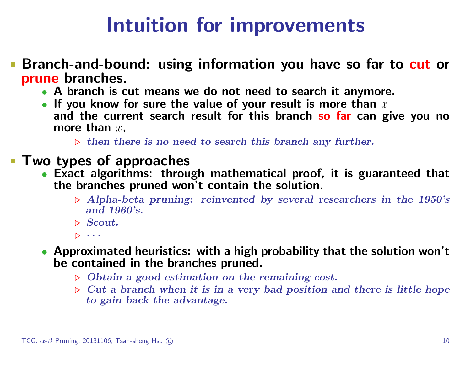## Intuition for improvements

- **Branch-and-bound: using information you have so far to cut or** prune branches.
	- A branch is cut means we do not need to search it anymore.
	- If you know for sure the value of your result is more than  $x$ and the current search result for this branch so far can give you no more than  $x$ .
		- $\triangleright$  then there is no need to search this branch any further.
- **Two types of approaches** 
	- Exact algorithms: through mathematical proof, it is guaranteed that the branches pruned won't contain the solution.
		- $\triangleright$  Alpha-beta pruning: reinvented by several researchers in the 1950's and 1960's.
		- $\triangleright$  Scout.
		- $\triangleright$   $\cdots$
	- Approximated heuristics: with a high probability that the solution won't be contained in the branches pruned.
		- $\triangleright$  Obtain a good estimation on the remaining cost.
		- $\triangleright$  Cut a branch when it is in a very bad position and there is little hope to gain back the advantage.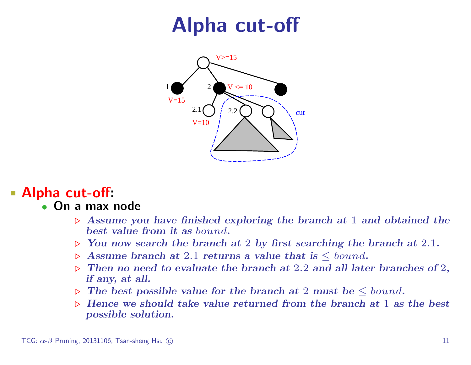# Alpha cut-off



#### Alpha cut-off:

#### • On a max node

- $\triangleright$  Assume you have finished exploring the branch at 1 and obtained the best value from it as bound.
- $\triangleright$  You now search the branch at 2 by first searching the branch at 2.1.
- $\triangleright$  Assume branch at 2.1 returns a value that is  $\leq$  bound.
- $\triangleright$  Then no need to evaluate the branch at 2.2 and all later branches of 2, if any, at all.
- $\triangleright$  The best possible value for the branch at 2 must be  $\leq$  bound.
- $\triangleright$  Hence we should take value returned from the branch at 1 as the best possible solution.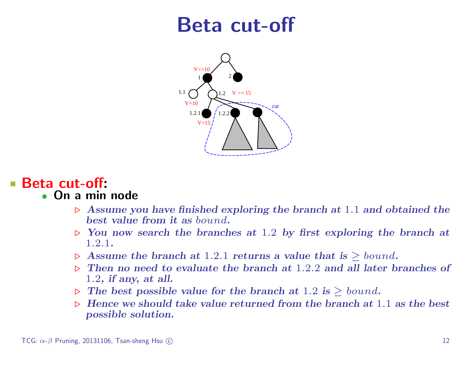### Beta cut-off



#### Beta cut-off: • On a min node

- $\triangleright$  Assume you have finished exploring the branch at 1.1 and obtained the best value from it as bound.
- $\triangleright$  You now search the branches at 1.2 by first exploring the branch at 1.2.1.
- $\triangleright$  Assume the branch at 1.2.1 returns a value that is  $\geq$  bound.
- $\triangleright$  Then no need to evaluate the branch at 1.2.2 and all later branches of 1.2, if any, at all.
- $\triangleright$  The best possible value for the branch at 1.2 is  $\triangleright$  bound.
- $\triangleright$  Hence we should take value returned from the branch at 1.1 as the best possible solution.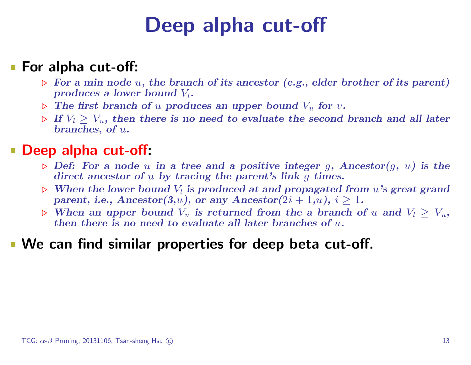# Deep alpha cut-off

#### **For alpha cut-off:**

- $\triangleright$  For a min node u, the branch of its ancestor (e.g., elder brother of its parent) produces a lower bound  $V_l$ .
- $\triangleright$  The first branch of u produces an upper bound  $V_u$  for v.
- $\triangleright$  If  $V_l \geq V_u$ , then there is no need to evaluate the second branch and all later branches, of u.

#### Deep alpha cut-off:

- $\triangleright$  Def: For a node u in a tree and a positive integer g, Ancestor(g, u) is the direct ancestor of u by tracing the parent's link q times.
- $\triangleright$  When the lower bound  $V_l$  is produced at and propagated from u's great grand parent, i.e.,  $Ancestor(3,u)$ , or any  $Ancestor(2i + 1,u)$ ,  $i \ge 1$ .
- $\triangleright$  When an upper bound  $V_u$  is returned from the a branch of u and  $V_l > V_u$ , then there is no need to evaluate all later branches of  $u$ .

#### We can find similar properties for deep beta cut-off.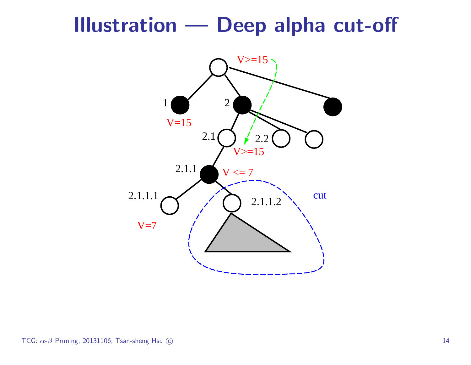### Illustration — Deep alpha cut-off

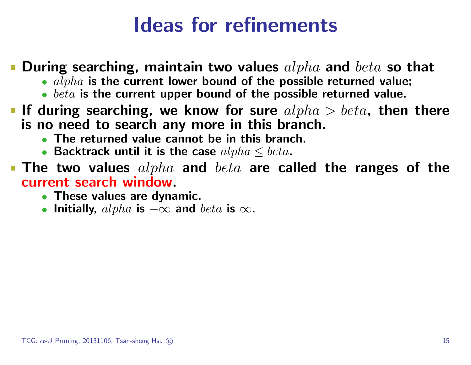## Ideas for refinements

#### **• During searching, maintain two values**  $alpha$  and  $beta$  so that

- $alpha$  is the current lower bound of the possible returned value;
- $\bullet$  beta is the current upper bound of the possible returned value.
- If during searching, we know for sure  $alpha > beta$ , then there is no need to search any more in this branch.
	- The returned value cannot be in this branch.
	- Backtrack until it is the case  $alpha \leq beta$ .
- **The two values**  $alpha$  and  $beta$  are called the ranges of the current search window.
	- These values are dynamic.
	- Initially,  $alpha$  is  $-\infty$  and  $beta$  is  $\infty$ .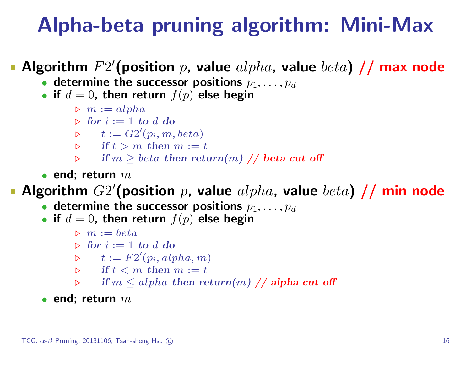## Alpha-beta pruning algorithm: Mini-Max

#### Algorithm  $F2'$ (position p, value  $alpha$ , value  $beta$  // max node

- determine the successor positions  $p_1, \ldots, p_d$
- if  $d = 0$ , then return  $f(p)$  else begin
	- $\triangleright$   $m := alpha$
	- $\triangleright$  for  $i := 1$  to d do
	- $\triangleright$   $t := G2'(p_i, m, beta)$
	- $\triangleright$  if  $t > m$  then  $m := t$
	- $\triangleright$  if  $m \geq beta$  then return $(m)$  // beta cut off
- end: return  $m$

#### Algorithm  $G2'$ (position p, value  $alpha$ , value  $beta$ ) // min node

- determine the successor positions  $p_1, \ldots, p_d$
- if  $d = 0$ , then return  $f(p)$  else begin
	- $\triangleright$   $m := beta$
	- $\triangleright$  for  $i := 1$  to d do
	- $\triangleright$   $t := F2'(p_i, alpha, m)$
	- $\triangleright$  if  $t < m$  then  $m := t$
	- $\triangleright$  if  $m \leq alpha$  then return $(m)$  // alpha cut off

#### • end: return  $m$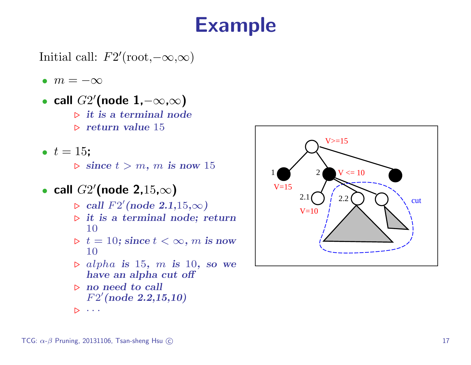## Example

Initial call:  $F2'(\text{root}, -\infty, \infty)$ 

- $m = -\infty$
- call  $G2'$ (node 1, $-\infty,\infty$ )  $\triangleright$  it is a terminal node
	- $\triangleright$  return value 15
- $t = 15$ :
	- $\triangleright$  since  $t > m$ , m is now 15
- call  $G2'$ (node 2,15, $\infty$ )
	- $\triangleright$  call  $F2'$ (node 2.1,15, $\infty$ )
	- $\triangleright$  it is a terminal node; return 10
	- $\triangleright t = 10$ ; since  $t < \infty$ , m is now 10
	- $\rho$  alpha is 15, m is 10, so we have an alpha cut off
	- $\triangleright$  no need to call  $F2'(node 2.2, 15, 10)$

 $\triangleright$   $\cdots$ 

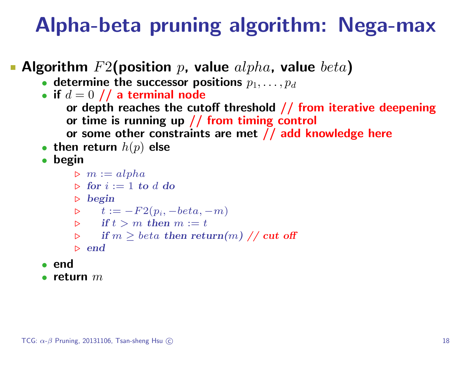# Alpha-beta pruning algorithm: Nega-max

- Algorithm  $F2$ (position p, value  $alpha$ , value  $beta$ )
	- determine the successor positions  $p_1, \ldots, p_d$
	- if  $d = 0$  // a terminal node
		- or depth reaches the cutoff threshold  $//$  from iterative deepening or time is running up // from timing control
		- or some other constraints are met // add knowledge here
	- then return  $h(p)$  else
	- begin
		- $\triangleright$   $m := alpha$
		- $\triangleright$  for  $i := 1$  to d do
		- $\triangleright$  begin

$$
\triangleright \qquad t := -F2(p_i, -beta, -m)
$$

- $\triangleright$  if  $t > m$  then  $m := t$
- $\triangleright$  if  $m > \text{beta}$  then return $(m)$  // cut off
- $\triangleright$  end
- end
- return  $m$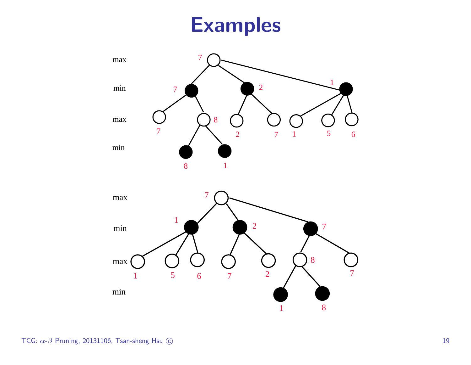## Examples



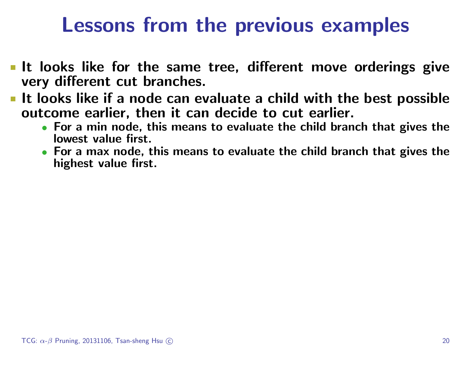## Lessons from the previous examples

- It looks like for the same tree, different move orderings give very different cut branches.
- It looks like if a node can evaluate a child with the best possible outcome earlier, then it can decide to cut earlier.
	- For a min node, this means to evaluate the child branch that gives the lowest value first.
	- For a max node, this means to evaluate the child branch that gives the highest value first.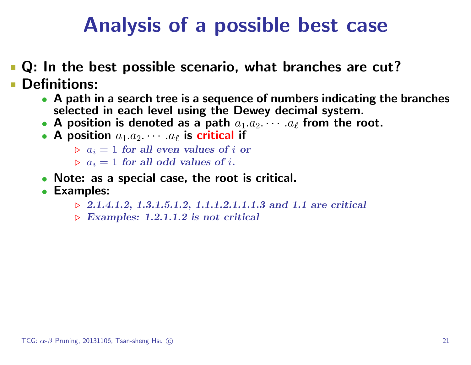# Analysis of a possible best case

**Q**: In the best possible scenario, what branches are cut? **Definitions:** 

- A path in a search tree is a sequence of numbers indicating the branches selected in each level using the Dewey decimal system.
- A position is denoted as a path  $a_1.a_2.\cdots.a_\ell$  from the root.
- A position  $a_1.a_2.\cdots.a_\ell$  is critical if

```
\triangleright a_i = 1 for all even values of i or
```

```
\triangleright a_i = 1 for all odd values of i.
```
- Note: as a special case, the root is critical.
- Examples:
	- $\triangleright$  2.1.4.1.2, 1.3.1.5.1.2, 1.1.1.2.1.1.1.3 and 1.1 are critical
	- $\triangleright$  Examples: 1.2.1.1.2 is not critical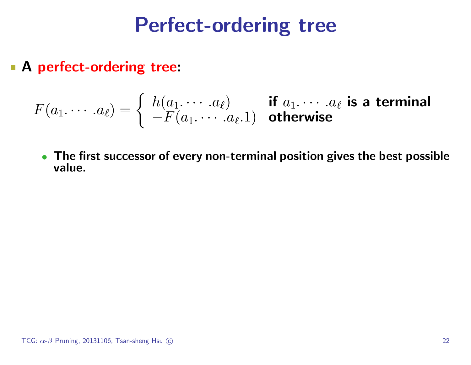## Perfect-ordering tree

**A perfect-ordering tree:** 

$$
F(a_1.\cdots.a_\ell)=\left\{\begin{array}{ll} h(a_1.\cdots.a_\ell) & \text{if } a_1.\cdots.a_\ell \text{ is a terminal} \\ -F(a_1.\cdots.a_\ell.1) & \text{otherwise} \end{array}\right.
$$

• The first successor of every non-terminal position gives the best possible value.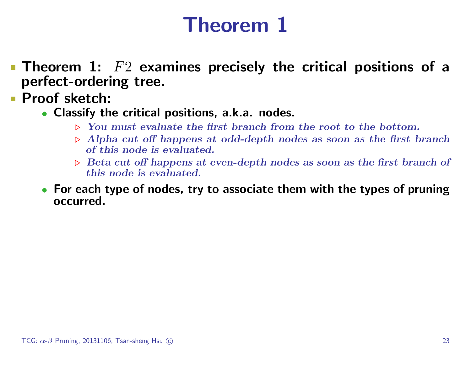# Theorem 1

- **Theorem 1:**  $F2$  examines precisely the critical positions of a perfect-ordering tree.
- **Proof sketch:** 
	- Classify the critical positions, a.k.a. nodes.
		- $\triangleright$  You must evaluate the first branch from the root to the bottom.
		- $\triangleright$  Alpha cut off happens at odd-depth nodes as soon as the first branch of this node is evaluated.
		- $\triangleright$  Beta cut off happens at even-depth nodes as soon as the first branch of this node is evaluated.
	- For each type of nodes, try to associate them with the types of pruning occurred.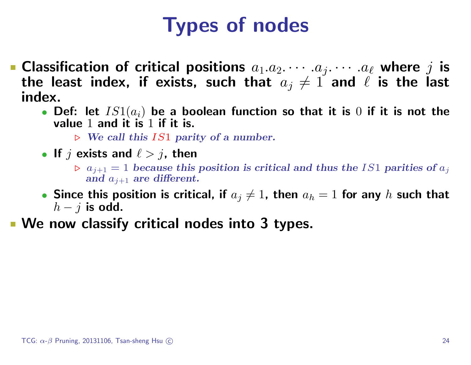# Types of nodes

- **Classification of critical positions**  $a_1.a_2.\cdots.a_j.\cdots.a_\ell$  where j is the least index, if exists, such that  $a_j \neq 1$  and  $\ell$  is the last index.
	- Def: let  $IS1(a_i)$  be a boolean function so that it is  $0$  if it is not the value 1 and it is 1 if it is.
		- $\triangleright$  We call this IS1 parity of a number.
	- If  $j$  exists and  $\ell > j$ , then
		- $\rho$  a<sub>j+1</sub> = 1 because this position is critical and thus the IS1 parities of  $a_j$ and  $a_{j+1}$  are different.
	- Since this position is critical, if  $a_j\neq 1$ , then  $a_h=1$  for any  $h$  such that  $h - j$  is odd.
- We now classify critical nodes into 3 types.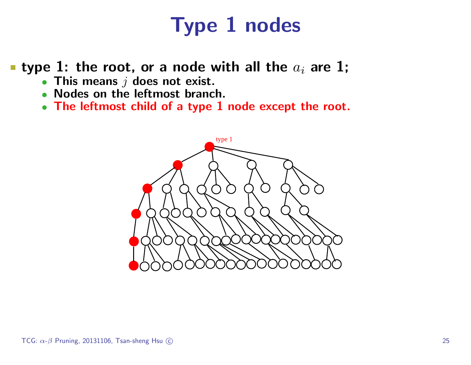# Type 1 nodes

**type 1: the root, or a node with all the**  $a_i$  are 1;

- This means  $j$  does not exist.
- Nodes on the leftmost branch.
- The leftmost child of a type 1 node except the root.

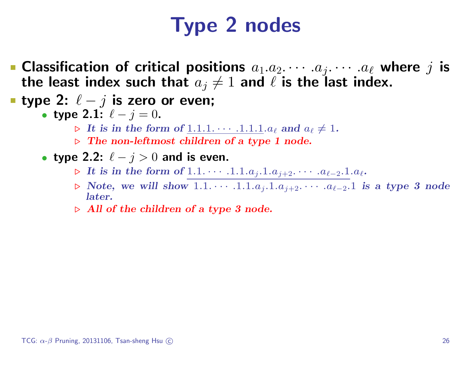# Type 2 nodes

- **Classification of critical positions**  $a_1.a_2.\cdots.a_j.\cdots.a_\ell$  where j is the least index such that  $a_j \neq 1$  and  $\ell$  is the last index.
- type 2:  $\ell j$  is zero or even;
	- type 2.1:  $\ell j = 0$ .
		- $\triangleright$  It is in the form of  $\underline{1.1.1. \cdots .1.1.1}.$  a<sub>l</sub> and  $a_\ell \neq 1$ .
		- $\triangleright$  The non-leftmost children of a type 1 node.
	- type 2.2:  $\ell j > 0$  and is even.
		- ► It is in the form of  $1.1. \cdots .1.1.a_j.1.a_{j+2}. \cdots .a_{\ell-2}.1.a_{\ell}.$
		- . Note, we will show 1.1. · · · .1.1.aj.1.aj+2. · · · .a`−2.1 is a type 3 node later.
		- $\triangleright$  All of the children of a type 3 node.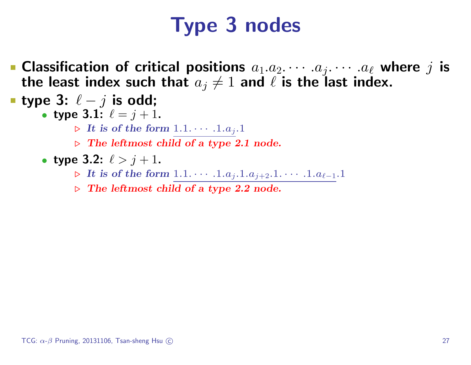# Type 3 nodes

- **Classification of critical positions**  $a_1.a_2.\cdots.a_j.\cdots.a_\ell$  where j is the least index such that  $a_j \neq 1$  and  $\ell$  is the last index.
- type 3:  $\ell j$  is odd;
	- type 3.1:  $\ell = j + 1$ .
		- $\triangleright$  It is of the form  $1.1. \cdots .1.a_j.1$
		- $\triangleright$  The leftmost child of a type 2.1 node.
	- type 3.2:  $\ell > j + 1$ .
		- ► It is of the form  $1.1. \cdots .1.a<sub>i</sub>.1.a<sub>i+2</sub>.1. \cdots .1.a<sub>l-1</sub>.1$
		- $\triangleright$  The leftmost child of a type 2.2 node.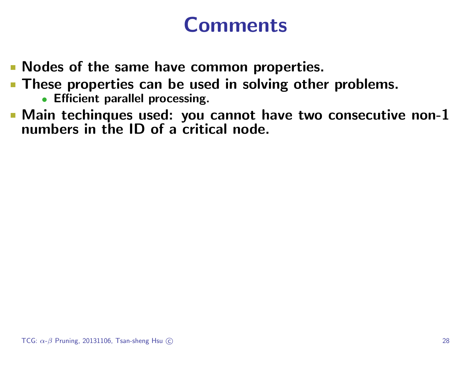## Comments

- **Nodes of the same have common properties.**
- **These properties can be used in solving other problems.** 
	- Efficient parallel processing.
- Main techinques used: you cannot have two consecutive non-1 numbers in the ID of a critical node.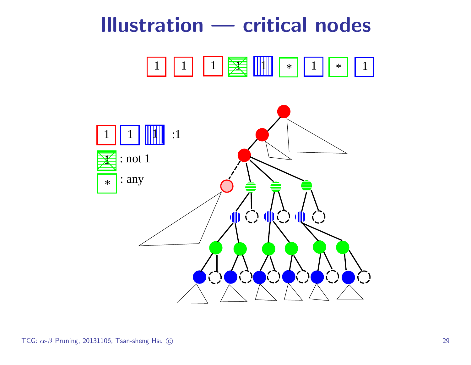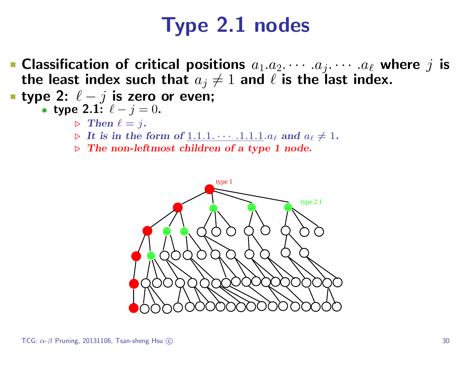# Type 2.1 nodes

- **Classification of critical positions**  $a_1.a_2.\cdots.a_j.\cdots.a_\ell$  where j is the least index such that  $a_j \neq 1$  and  $\ell$  is the last index.
- type 2:  $\ell j$  is zero or even;

• type 2.1: 
$$
\ell - j = 0
$$
.

- $\triangleright$  Then  $\ell = j$ .
- $\triangleright$  It is in the form of  $\underline{1.1.1. \cdots .1.1.1.}$  a<sub>l</sub> and  $a_\ell \neq 1$ .
- $\triangleright$  The non-leftmost children of a type 1 node.

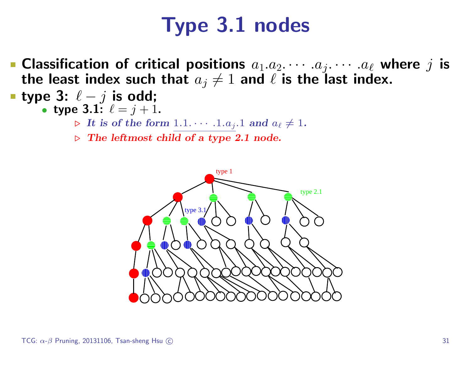# Type 3.1 nodes

• Classification of critical positions  $a_1.a_2.\cdots.a_j.\cdots.a_\ell$  where j is the least index such that  $a_j \neq 1$  and  $\ell$  is the last index.

■ type 3: 
$$
\ell - j
$$
 is odd;

- type 3.1:  $\ell = j + 1$ .
	- $\triangleright$  It is of the form  $1.1. \cdots .1.a_j.1$  and  $a_\ell \neq 1$ .
	- $\triangleright$  The leftmost child of a type 2.1 node.

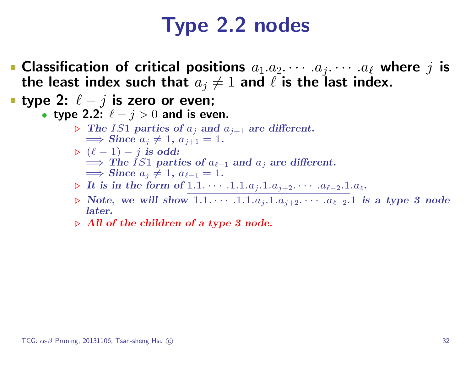# Type 2.2 nodes

- **Classification of critical positions**  $a_1.a_2.\cdots.a_j.\cdots.a_\ell$  where j is the least index such that  $a_j \neq 1$  and  $\ell$  is the last index.
- type 2:  $\ell j$  is zero or even;
	- type 2.2:  $\ell j > 0$  and is even.
		- $\triangleright$  The IS1 parties of  $a_j$  and  $a_{j+1}$  are different.  $\implies$  Since  $a_j \neq 1, a_{j+1} = 1.$
		- $\rhd (\ell 1) j$  is odd:  $\implies$  The IS1 parties of  $a_{\ell-1}$  and  $a_j$  are different.  $\implies$  Since  $a_j \neq 1, a_{\ell-1} = 1$ .
		- **⊳** It is in the form of 1.1. · · · · .1.1.a<sub>j</sub>.1.a<sub>j+2</sub>. · · · · .a<sub>ℓ-2</sub>.1.a<sub>ℓ</sub>.
		- $\triangleright$  Note, we will show 1.1.  $\dots$  .1.1. $a_j$ .1. $a_{j+2}$ .  $\dots$  . $a_{\ell-2}$ .1 is a type 3 node later.
		- $\triangleright$  All of the children of a type 3 node.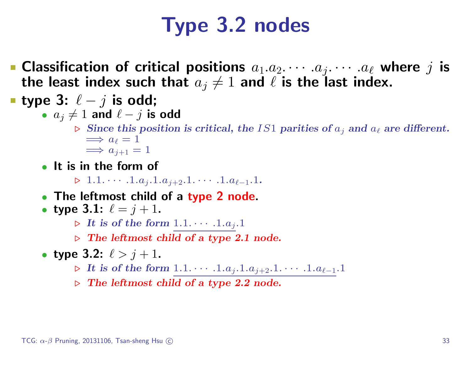# Type 3.2 nodes

**Classification of critical positions**  $a_1.a_2.\cdots.a_j.\cdots.a_\ell$  where j is the least index such that  $a_j \neq 1$  and  $\ell$  is the last index.

■ type 3: 
$$
\ell - j
$$
 is odd;

• 
$$
a_j \neq 1
$$
 and  $\ell - j$  is odd

- $\triangleright$  Since this position is critical, the IS1 parities of  $a_j$  and  $a_\ell$  are different.  $\implies a_{\ell} = 1$  $\implies a_{i+1} = 1$
- It is in the form of
	- $> 1.1. \cdot \cdot \cdot 1.a<sub>j+2</sub>.1. \cdot \cdot \cdot 1.a<sub>ℓ-1</sub>.1.$
- The leftmost child of a type 2 node.

• type 3.1: 
$$
\ell = j + 1
$$
.

- $\triangleright$  It is of the form  $1.1. \cdots .1.a_j.1$
- $\triangleright$  The leftmost child of a type 2.1 node.

• type 3.2: 
$$
\ell > j + 1
$$
.

- ► It is of the form  $1.1. \cdots .1.a_j.1.a_{j+2}.1. \cdots .1.a_{\ell-1}.1$
- $\triangleright$  The leftmost child of a type 2.2 node.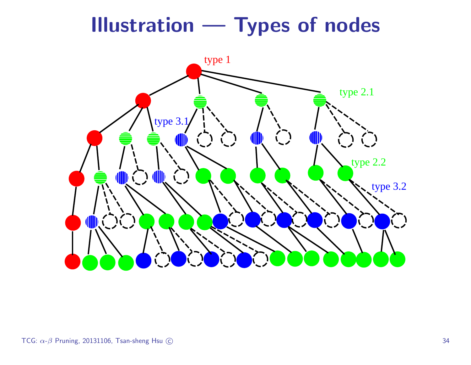# Illustration — Types of nodes

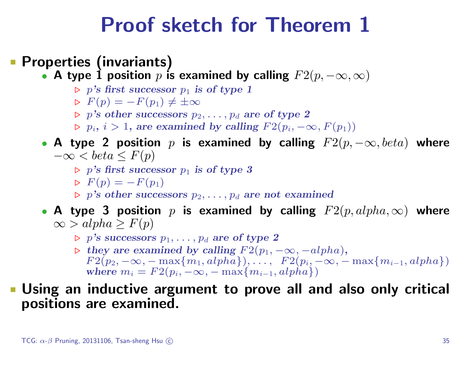## Proof sketch for Theorem 1

#### **• Properties (invariants)**

- A type 1 position  $p$  is examined by calling  $F2(p, -\infty, \infty)$ 
	- $\triangleright$  p's first successor  $p_1$  is of type 1
	- $\triangleright F(p) = -F(p_1) \neq \pm \infty$
	- $p > p's$  other successors  $p_2, \ldots, p_d$  are of type 2
	- $p_i, i > 1$ , are examined by calling  $F2(p_i, -\infty, F(p_1))$

#### • A type 2 position p is examined by calling  $F2(p, -\infty, beta)$  where  $-\infty < \text{beta} \leq F(p)$

- $\triangleright$  p's first successor  $p_1$  is of type 3
- $F(p) = -F(p_1)$
- $\triangleright$  p's other successors  $p_2, \ldots, p_d$  are not examined
- A type 3 position  $p$  is examined by calling  $F2(p, alpha, \infty)$  where  $\infty$  > alpha ≥  $F(p)$ 
	- $\triangleright$  p's successors  $p_1, \ldots, p_d$  are of type 2
	- $\triangleright$  they are examined by calling  $F2(p_1, -\infty, -alpha)$ *pha*),  $F2(p_2, -\infty, -\max\{m_1, alpha\}), \ldots, F2(p_i, -\infty, -\max\{m_{i-1}, alpha\})$ where  $m_i = F_2(p_i, -\infty, -\max\{m_{i-1}, alpha\})$

#### Using an inductive argument to prove all and also only critical positions are examined.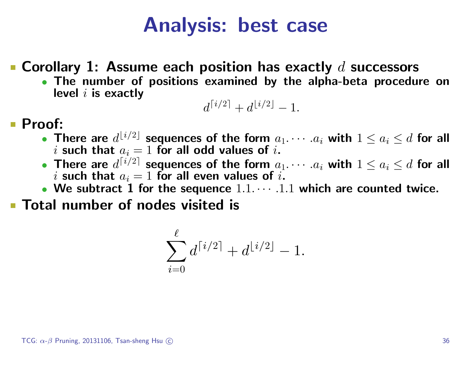### Analysis: best case

**• Corollary 1: Assume each position has exactly**  $d$  **successors** 

• The number of positions examined by the alpha-beta procedure on level  $i$  is exactly

$$
d^{\lceil i/2 \rceil} + d^{\lfloor i/2 \rfloor} - 1.
$$

#### Proof:

- There are  $d^{\lfloor i/2\rfloor}$  sequences of the form  $a_1.\cdots.a_i$  with  $1\leq a_i\leq d$  for all i such that  $a_i = 1$  for all odd values of i.
- There are  $d^{\lceil i/2\rceil}$  sequences of the form  $a_1.\cdots.a_i$  with  $1\leq a_i\leq d$  for all i such that  $a_i = 1$  for all even values of i.
- We subtract 1 for the sequence  $1.1 \cdots .1.1$  which are counted twice.

**Total number of nodes visited is** 

$$
\sum_{i=0}^{\ell} d^{\lceil i/2 \rceil} + d^{\lfloor i/2 \rfloor}-1.
$$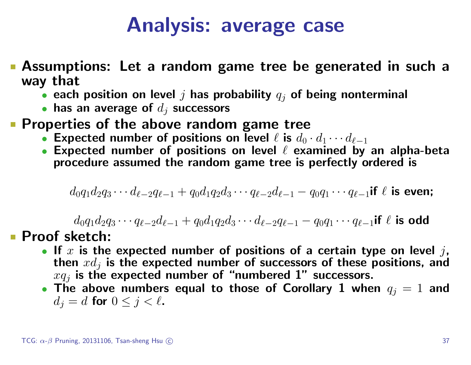## Analysis: average case

- Assumptions: Let a random game tree be generated in such a way that
	- each position on level  $j$  has probability  $q_j$  of being nonterminal
	- has an average of  $d_i$  successors
- **Properties of the above random game tree** 
	- Expected number of positions on level  $\ell$  is  $d_0 \cdot d_1 \cdots d_{\ell-1}$
	- Expected number of positions on level  $\ell$  examined by an alpha-beta procedure assumed the random game tree is perfectly ordered is

$$
d_0q_1d_2q_3\cdots d_{\ell-2}q_{\ell-1} + q_0d_1q_2d_3\cdots q_{\ell-2}d_{\ell-1} - q_0q_1\cdots q_{\ell-1} \text{if } \ell \text{ is even};
$$

 $d_0q_1d_2q_3 \cdots q_{\ell-2}d_{\ell-1} + q_0d_1q_2d_3 \cdots d_{\ell-2}q_{\ell-1} - q_0q_1 \cdots q_{\ell-1}$ if  $\ell$  is odd

#### **Proof sketch:**

- If  $x$  is the expected number of positions of a certain type on level  $j$ , then  $xd_i$  is the expected number of successors of these positions, and  $xq_i$  is the expected number of "numbered 1" successors.
- The above numbers equal to those of Corollary 1 when  $q_j = 1$  and  $d_j = d$  for  $0 \leq j < \ell$ .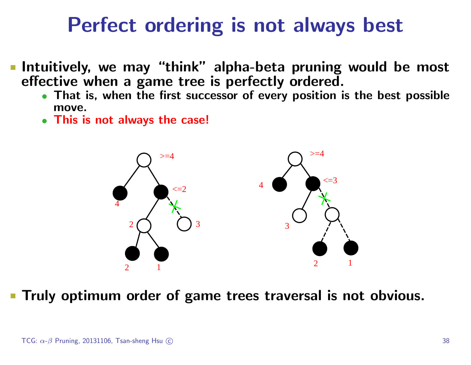## Perfect ordering is not always best

- Intuitively, we may "think" alpha-beta pruning would be most effective when a game tree is perfectly ordered.
	- That is, when the first successor of every position is the best possible move.
	- This is not always the case!



Truly optimum order of game trees traversal is not obvious.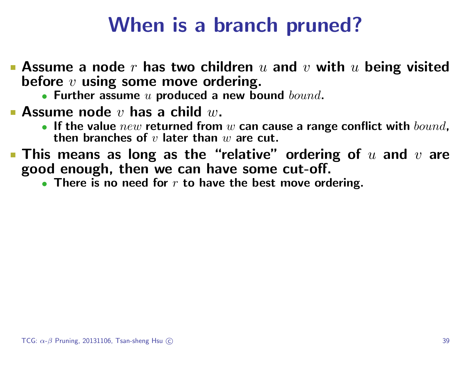## When is a branch pruned?

- **Assume a node r has two children** u and v with u being visited before  $v$  using some move ordering.
	- Further assume  $u$  produced a new bound  $bound$ .
- **Assume node**  $v$  has a child  $w$ .
	- If the value  $new$  returned from  $w$  can cause a range conflict with  $bound$ , then branches of  $v$  later than  $w$  are cut.
- $\blacksquare$  This means as long as the "relative" ordering of  $u$  and  $v$  are good enough, then we can have some cut-off.
	- There is no need for  $r$  to have the best move ordering.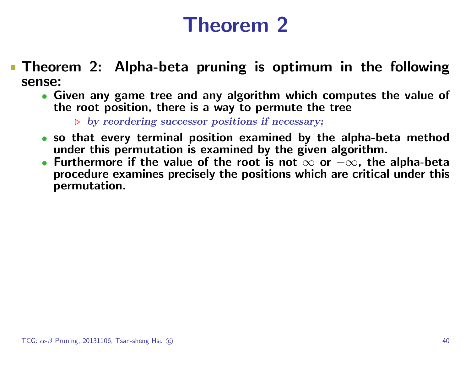## Theorem 2

- Theorem 2: Alpha-beta pruning is optimum in the following sense:
	- Given any game tree and any algorithm which computes the value of the root position, there is a way to permute the tree

 $\triangleright$  by reordering successor positions if necessary;

- so that every terminal position examined by the alpha-beta method under this permutation is examined by the given algorithm.
- Furthermore if the value of the root is not  $\infty$  or  $-\infty$ , the alpha-beta procedure examines precisely the positions which are critical under this permutation.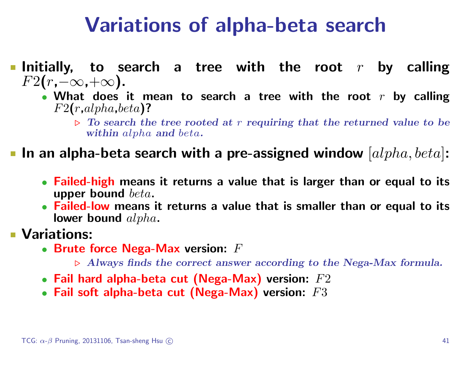## Variations of alpha-beta search

- Initially, to search a tree with the root  $r$  by calling  $F2(r,-\infty,+\infty)$ .
	- What does it mean to search a tree with the root  $r$  by calling  $F2(r,alpha,beta)$ ?
		- $\triangleright$  To search the tree rooted at r requiring that the returned value to be within alpha and beta.

In an alpha-beta search with a pre-assigned window  $|alpha, beta|$ :

- Failed-high means it returns a value that is larger than or equal to its upper bound beta.
- Failed-low means it returns a value that is smaller than or equal to its lower bound  $alpha$ .

#### **Variations:**

- $\bullet\,$  Brute force Nega-Max version:  $F$ 
	- $\triangleright$  Always finds the correct answer according to the Nega-Max formula.
- Fail hard alpha-beta cut (Nega-Max) version:  $F2$
- Fail soft alpha-beta cut (Nega-Max) version:  $F3$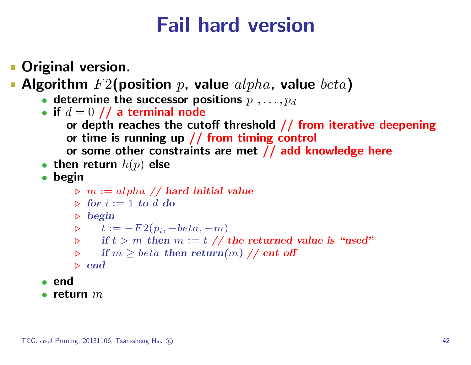## Fail hard version

Original version.

Algorithm  $F2$ (position p, value  $alpha$ , value  $beta$ )

- determine the successor positions  $p_1, \ldots, p_d$
- if  $d = 0$  // a terminal node
	- or depth reaches the cutoff threshold  $//$  from iterative deepening or time is running up // from timing control
		- or some other constraints are met // add knowledge here
- then return  $h(p)$  else
- begin
	- $\triangleright$   $m := alpha / /$  hard initial value
	- $\triangleright$  for  $i := 1$  to d do
	- $\triangleright$  begin

$$
\triangleright \qquad t := -F2(p_i, -beta, -m)
$$

- $\triangleright$  if  $t > m$  then  $m := t \nightharpoondown t$  the returned value is "used"
- $\triangleright$  if  $m \geq beta$  then return $(m)$  // cut off
- $\triangleright$  end
- end
- $\bullet$  return  $m$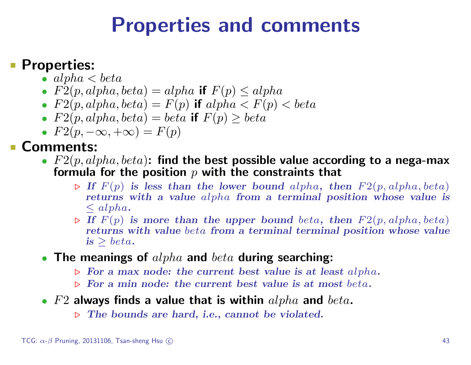### Properties and comments

#### **Properties:**

- alpha  $\lt{beta}$
- $F2(p, alpha, beta) = alpha$  if  $F(p) \le alpha$
- $F2(p, alpha, beta) = F(p)$  if  $alpha < F(p) < beta$
- $F2(p, alpha, beta) = beta$  if  $F(p) \geq beta$
- $F2(p, -\infty, +\infty) = F(p)$

#### Comments:

- $F2(p, alpha, beta)$ : find the best possible value according to a nega-max formula for the position  $p$  with the constraints that
	- $\triangleright$  If  $F(p)$  is less than the lower bound alpha, then  $F2(p, alpha, beta)$ returns with a value alpha from a terminal position whose value is  $\leq alpha.$
	- $\triangleright$  If  $F(p)$  is more than the upper bound beta, then  $F2(p, alpha, beta)$ returns with value beta from a terminal terminal position whose value  $is > beta.$
- The meanings of  $alpha$  and  $beta$  during searching:
	- $\triangleright$  For a max node: the current best value is at least alpha.
	- $\triangleright$  For a min node: the current best value is at most beta.
- $F2$  always finds a value that is within  $alpha$  and  $beta$ .
	- $\triangleright$  The bounds are hard, i.e., cannot be violated.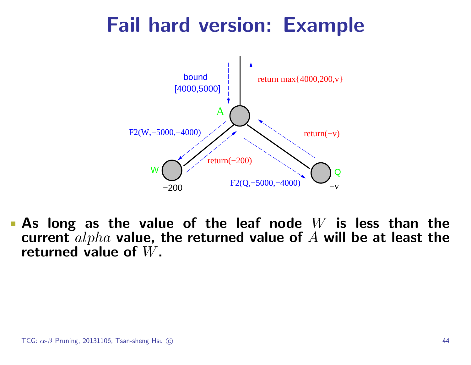# Fail hard version: Example



**As long as the value of the leaf node**  $W$  is less than the current  $alpha$  value, the returned value of  $A$  will be at least the returned value of W.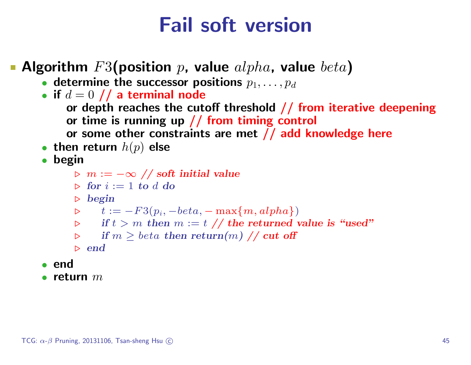## Fail soft version

- Algorithm  $F3$ (position p, value  $alpha$ , value  $beta$ )
	- determine the successor positions  $p_1, \ldots, p_d$
	- if  $d = 0$  // a terminal node
		- or depth reaches the cutoff threshold  $//$  from iterative deepening or time is running up  $//$  from timing control
		- or some other constraints are met // add knowledge here
	- then return  $h(p)$  else
	- begin
		- $\triangleright$  m :=  $-\infty$  // soft initial value
		- $\triangleright$  for  $i := 1$  to d do
		- $\triangleright$  begin
		- $\triangleright \quad t := -F3(p_i, -beta, -\max\{m, alpha\})$
		- $\triangleright$  if  $t > m$  then  $m := t \text{ // }$  the returned value is "used"
		- $\triangleright$  if  $m \geq beta$  then return $(m)$  // cut off

```
\triangleright end
```
- end
- return  $m$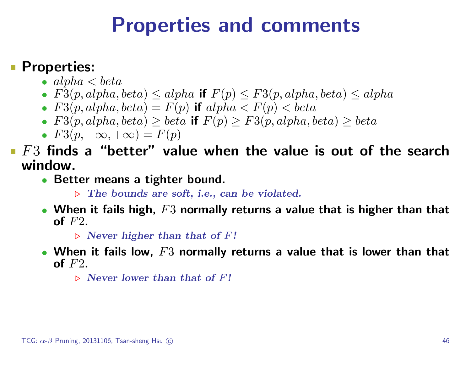### Properties and comments

#### Properties:

- $alpha < beta$
- $F3(p, alpha, beta) \leq alpha$  if  $F(p) \leq F3(p, alpha, beta) \leq alpha$
- $F3(p, alpha, beta) = F(p)$  if  $alpha < F(p) < beta$
- F3(p, alpha, beta)  $\geq$  beta if  $F(p) \geq F3(p, alpha, beta) \geq beta$
- $F3(p, -\infty, +\infty) = F(p)$
- $\blacksquare$  F3 finds a "better" value when the value is out of the search window.
	- Better means a tighter bound.
		- $\triangleright$  The bounds are soft, i.e., can be violated.
	- When it fails high,  $F3$  normally returns a value that is higher than that of  $F2$ .
		- $\triangleright$  Never higher than that of F!
	- When it fails low,  $F3$  normally returns a value that is lower than that of  $F2$ .
		- $\triangleright$  Never lower than that of F!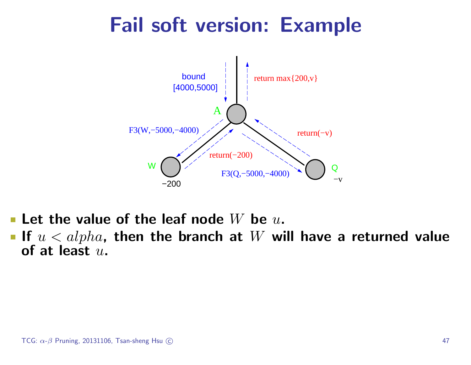# Fail soft version: Example



- **Let the value of the leaf node** W be  $u$ .
- If  $u < alpha$ , then the branch at W will have a returned value of at least  $u$ .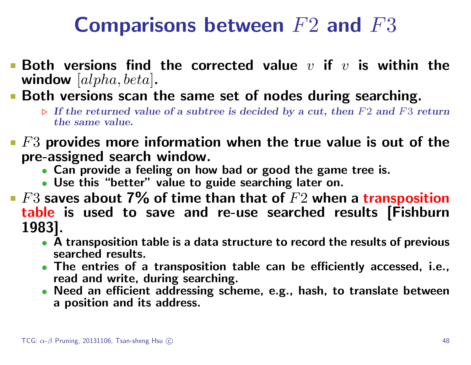# Comparisons between  $F2$  and  $F3$

- $\blacksquare$  Both versions find the corrected value  $v$  if  $v$  is within the window  $[alpha, beta]$ .
- **Both versions scan the same set of nodes during searching.** 
	- $\triangleright$  If the returned value of a subtree is decided by a cut, then F2 and F3 return the same value.
- $\blacksquare$   $F3$  provides more information when the true value is out of the pre-assigned search window.
	- Can provide a feeling on how bad or good the game tree is.
	- Use this "better" value to guide searching later on.
- Fect F3 saves about 7% of time than that of  $F2$  when a transposition table is used to save and re-use searched results [Fishburn 1983].
	- A transposition table is a data structure to record the results of previous searched results.
	- The entries of a transposition table can be efficiently accessed, i.e., read and write, during searching.
	- Need an efficient addressing scheme, e.g., hash, to translate between a position and its address.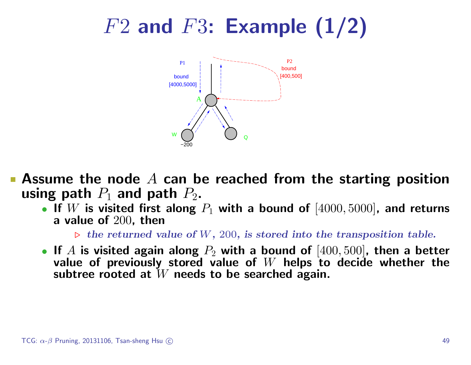# $F2$  and  $F3$ : Example  $(1/2)$



- Assume the node  $A$  can be reached from the starting position using path  $P_1$  and path  $P_2$ .
	- If  $W$  is visited first along  $P_1$  with a bound of  $[4000, 5000]$ , and returns a value of 200, then

 $\triangleright$  the returned value of W, 200, is stored into the transposition table.

• If A is visited again along  $P_2$  with a bound of  $[400, 500]$ , then a better value of previously stored value of  $W$  helps to decide whether the subtree rooted at  $W$  needs to be searched again.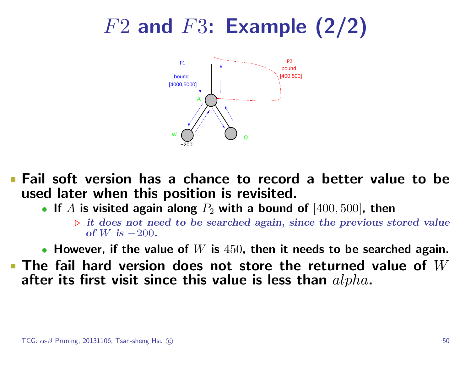# $F2$  and  $F3$ : Example  $(2/2)$



Fail soft version has a chance to record a better value to be used later when this position is revisited.

• If A is visited again along  $P_2$  with a bound of  $[400, 500]$ , then

 $\triangleright$  it does not need to be searched again, since the previous stored value of W is  $-200$ .

• However, if the value of  $W$  is  $450$ , then it needs to be searched again.

 $\blacksquare$  The fail hard version does not store the returned value of  $W$ after its first visit since this value is less than  $alpha$ .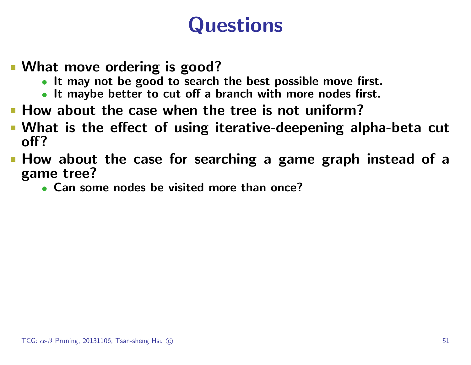# **Questions**

- What move ordering is good?
	- It may not be good to search the best possible move first.
	- It maybe better to cut off a branch with more nodes first.
- **How about the case when the tree is not uniform?**
- What is the effect of using iterative-deepening alpha-beta cut off?
- **How about the case for searching a game graph instead of a** game tree?
	- Can some nodes be visited more than once?